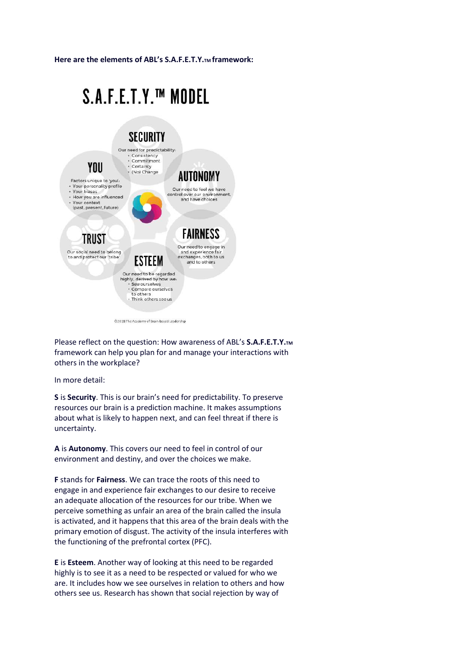Here are the elements of ABL's S.A.F.E.T.Y.<sub>TM</sub> framework:

## S.A.F.E.T.Y.™ MODEL



@2018 The Academy of Brain-based Leadership

Please reflect on the question: How awareness of ABL's S.A.F.E.T.Y.TM framework can help you plan for and manage your interactions with others in the workplace?

In more detail:

S is Security. This is our brain's need for predictability. To preserve resources our brain is a prediction machine. It makes assumptions about what is likely to happen next, and can feel threat if there is uncertainty.

A is Autonomy. This covers our need to feel in control of our environment and destiny, and over the choices we make.

F stands for Fairness. We can trace the roots of this need to engage in and experience fair exchanges to our desire to receive an adequate allocation of the resources for our tribe. When we perceive something as unfair an area of the brain called the insula is activated, and it happens that this area of the brain deals with the primary emotion of disgust. The activity of the insula interferes with the functioning of the prefrontal cortex (PFC).

E is Esteem. Another way of looking at this need to be regarded highly is to see it as a need to be respected or valued for who we are. It includes how we see ourselves in relation to others and how others see us. Research has shown that social rejection by way of